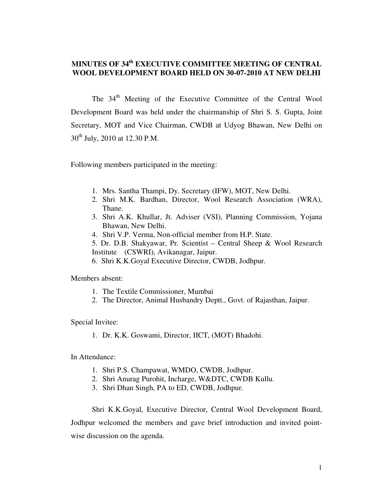# **MINUTES OF 34th EXECUTIVE COMMITTEE MEETING OF CENTRAL WOOL DEVELOPMENT BOARD HELD ON 30-07-2010 AT NEW DELHI**

The 34<sup>th</sup> Meeting of the Executive Committee of the Central Wool Development Board was held under the chairmanship of Shri S. S. Gupta, Joint Secretary, MOT and Vice Chairman, CWDB at Udyog Bhawan, New Delhi on 30<sup>th</sup> July, 2010 at 12.30 P.M.

Following members participated in the meeting:

- 1. Mrs. Santha Thampi, Dy. Secretary (IFW), MOT, New Delhi.
- 2. Shri M.K. Bardhan, Director, Wool Research Association (WRA), Thane.
- 3. Shri A.K. Khullar, Jt. Adviser (VSI), Planning Commission, Yojana Bhawan, New Delhi.
- 4. Shri V.P. Verma, Non-official member from H.P. State.

5. Dr. D.B. Shakyawar, Pr. Scientist – Central Sheep & Wool Research Institute (CSWRI), Avikanagar, Jaipur.

6. Shri K.K.Goyal Executive Director, CWDB, Jodhpur.

Members absent:

- 1. The Textile Commissioner, Mumbai
- 2. The Director, Animal Husbandry Deptt., Govt. of Rajasthan, Jaipur.

### Special Invitee:

1. Dr. K.K. Goswami, Director, IICT, (MOT) Bhadohi.

In Attendance:

- 1. Shri P.S. Champawat, WMDO, CWDB, Jodhpur.
- 2. Shri Anurag Purohit, Incharge, W&DTC, CWDB Kullu.
- 3. Shri Dhan Singh, PA to ED, CWDB, Jodhpur.

Shri K.K.Goyal, Executive Director, Central Wool Development Board, Jodhpur welcomed the members and gave brief introduction and invited pointwise discussion on the agenda.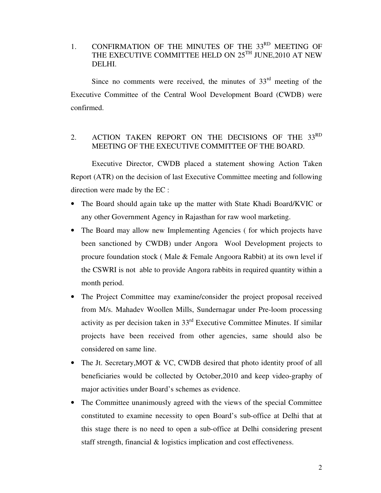1. CONFIRMATION OF THE MINUTES OF THE 33<sup>RD</sup> MEETING OF THE EXECUTIVE COMMITTEE HELD ON  $25^{\text{TH}}$  JUNE,2010 AT NEW DELHI.

Since no comments were received, the minutes of  $33<sup>rd</sup>$  meeting of the Executive Committee of the Central Wool Development Board (CWDB) were confirmed.

## 2. ACTION TAKEN REPORT ON THE DECISIONS OF THE 33RD MEETING OF THE EXECUTIVE COMMITTEE OF THE BOARD.

 Executive Director, CWDB placed a statement showing Action Taken Report (ATR) on the decision of last Executive Committee meeting and following direction were made by the EC :

- The Board should again take up the matter with State Khadi Board/KVIC or any other Government Agency in Rajasthan for raw wool marketing.
- The Board may allow new Implementing Agencies (for which projects have been sanctioned by CWDB) under Angora Wool Development projects to procure foundation stock ( Male & Female Angoora Rabbit) at its own level if the CSWRI is not able to provide Angora rabbits in required quantity within a month period.
- The Project Committee may examine/consider the project proposal received from M/s. Mahadev Woollen Mills, Sundernagar under Pre-loom processing activity as per decision taken in 33rd Executive Committee Minutes. If similar projects have been received from other agencies, same should also be considered on same line.
- The Jt. Secretary, MOT & VC, CWDB desired that photo identity proof of all beneficiaries would be collected by October,2010 and keep video-graphy of major activities under Board's schemes as evidence.
- The Committee unanimously agreed with the views of the special Committee constituted to examine necessity to open Board's sub-office at Delhi that at this stage there is no need to open a sub-office at Delhi considering present staff strength, financial & logistics implication and cost effectiveness.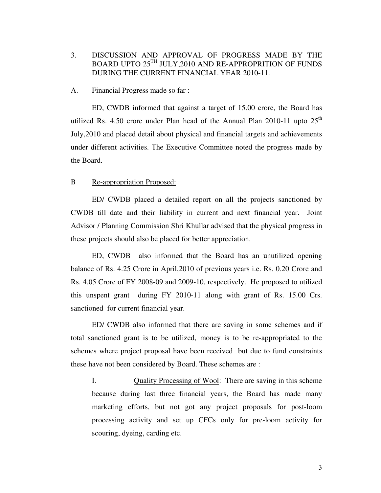## 3. DISCUSSION AND APPROVAL OF PROGRESS MADE BY THE BOARD UPTO 25TH JULY,2010 AND RE-APPROPRITION OF FUNDS DURING THE CURRENT FINANCIAL YEAR 2010-11.

### A. Financial Progress made so far :

 ED, CWDB informed that against a target of 15.00 crore, the Board has utilized Rs. 4.50 crore under Plan head of the Annual Plan 2010-11 upto  $25<sup>th</sup>$ July,2010 and placed detail about physical and financial targets and achievements under different activities. The Executive Committee noted the progress made by the Board.

### B Re-appropriation Proposed:

ED/ CWDB placed a detailed report on all the projects sanctioned by CWDB till date and their liability in current and next financial year. Joint Advisor / Planning Commission Shri Khullar advised that the physical progress in these projects should also be placed for better appreciation.

ED, CWDB also informed that the Board has an unutilized opening balance of Rs. 4.25 Crore in April,2010 of previous years i.e. Rs. 0.20 Crore and Rs. 4.05 Crore of FY 2008-09 and 2009-10, respectively. He proposed to utilized this unspent grant during FY 2010-11 along with grant of Rs. 15.00 Crs. sanctioned for current financial year.

ED/ CWDB also informed that there are saving in some schemes and if total sanctioned grant is to be utilized, money is to be re-appropriated to the schemes where project proposal have been received but due to fund constraints these have not been considered by Board. These schemes are :

I. Quality Processing of Wool: There are saving in this scheme because during last three financial years, the Board has made many marketing efforts, but not got any project proposals for post-loom processing activity and set up CFCs only for pre-loom activity for scouring, dyeing, carding etc.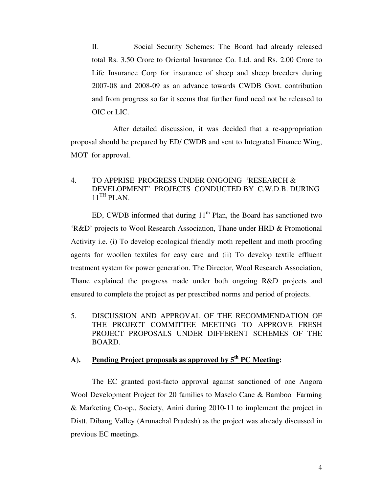II. Social Security Schemes: The Board had already released total Rs. 3.50 Crore to Oriental Insurance Co. Ltd. and Rs. 2.00 Crore to Life Insurance Corp for insurance of sheep and sheep breeders during 2007-08 and 2008-09 as an advance towards CWDB Govt. contribution and from progress so far it seems that further fund need not be released to OIC or LIC.

 After detailed discussion, it was decided that a re-appropriation proposal should be prepared by ED/ CWDB and sent to Integrated Finance Wing, MOT for approval.

## 4. TO APPRISE PROGRESS UNDER ONGOING 'RESEARCH & DEVELOPMENT' PROJECTS CONDUCTED BY C.W.D.B. DURING  $11<sup>TH</sup>$  PLAN.

ED, CWDB informed that during  $11<sup>th</sup>$  Plan, the Board has sanctioned two 'R&D' projects to Wool Research Association, Thane under HRD & Promotional Activity i.e. (i) To develop ecological friendly moth repellent and moth proofing agents for woollen textiles for easy care and (ii) To develop textile effluent treatment system for power generation. The Director, Wool Research Association, Thane explained the progress made under both ongoing R&D projects and ensured to complete the project as per prescribed norms and period of projects.

5. DISCUSSION AND APPROVAL OF THE RECOMMENDATION OF THE PROJECT COMMITTEE MEETING TO APPROVE FRESH PROJECT PROPOSALS UNDER DIFFERENT SCHEMES OF THE BOARD.

## **A). Pending Project proposals as approved by 5th PC Meeting:**

 The EC granted post-facto approval against sanctioned of one Angora Wool Development Project for 20 families to Maselo Cane & Bamboo Farming & Marketing Co-op., Society, Anini during 2010-11 to implement the project in Distt. Dibang Valley (Arunachal Pradesh) as the project was already discussed in previous EC meetings.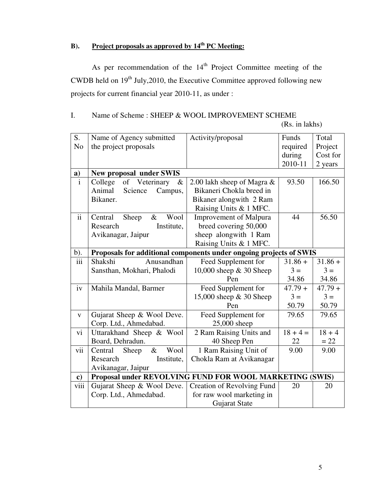# **B). Project proposals as approved by 14th PC Meeting:**

As per recommendation of the 14<sup>th</sup> Project Committee meeting of the CWDB held on  $19<sup>th</sup>$  July, 2010, the Executive Committee approved following new projects for current financial year 2010-11, as under :

# I. Name of Scheme : SHEEP & WOOL IMPROVEMENT SCHEME

|  |  | (Rs. in lakhs) |
|--|--|----------------|
|--|--|----------------|

| S.             | Name of Agency submitted                                           | Activity/proposal                 | Funds      | Total     |  |  |
|----------------|--------------------------------------------------------------------|-----------------------------------|------------|-----------|--|--|
| N <sub>o</sub> | the project proposals                                              |                                   | required   | Project   |  |  |
|                |                                                                    |                                   | during     | Cost for  |  |  |
|                |                                                                    |                                   | 2010-11    | 2 years   |  |  |
| a)             | <b>New proposal under SWIS</b>                                     |                                   |            |           |  |  |
| $\mathbf{i}$   | of Veterinary<br>College<br>$\&$                                   | 2.00 lakh sheep of Magra &        | 93.50      | 166.50    |  |  |
|                | Animal<br>Science<br>Campus,                                       | Bikaneri Chokla breed in          |            |           |  |  |
|                | Bikaner.                                                           | Bikaner alongwith 2 Ram           |            |           |  |  |
|                |                                                                    | Raising Units & 1 MFC.            |            |           |  |  |
| $\mathbf{ii}$  | Wool<br>Central<br>Sheep<br>$\&$                                   | <b>Improvement of Malpura</b>     | 44         | 56.50     |  |  |
|                | Research<br>Institute,                                             | breed covering 50,000             |            |           |  |  |
|                | Avikanagar, Jaipur                                                 | sheep alongwith 1 Ram             |            |           |  |  |
|                |                                                                    | Raising Units & 1 MFC.            |            |           |  |  |
| $b)$ .         | Proposals for additional components under ongoing projects of SWIS |                                   |            |           |  |  |
| iii            | Shakshi<br>Anusandhan                                              | Feed Supplement for               | $31.86 +$  | $31.86 +$ |  |  |
|                | Sansthan, Mokhari, Phalodi                                         | 10,000 sheep $& 30$ Sheep         | $3 =$      | $3 =$     |  |  |
|                |                                                                    | Pen                               | 34.86      | 34.86     |  |  |
| iv             | Mahila Mandal, Barmer                                              | Feed Supplement for               | $47.79 +$  | $47.79 +$ |  |  |
|                |                                                                    | 15,000 sheep & 30 Sheep           | $3 =$      | $3 =$     |  |  |
|                |                                                                    | Pen                               | 50.79      | 50.79     |  |  |
| $\mathbf{V}$   | Gujarat Sheep & Wool Deve.                                         | Feed Supplement for               | 79.65      | 79.65     |  |  |
|                | Corp. Ltd., Ahmedabad.                                             | 25,000 sheep                      |            |           |  |  |
| vi             | Uttarakhand Sheep & Wool                                           | 2 Ram Raising Units and           | $18 + 4 =$ | $18 + 4$  |  |  |
|                | Board, Dehradun.                                                   | 40 Sheep Pen                      | 22         | $= 22$    |  |  |
| vii            | $\&$<br>Wool<br>Central<br>Sheep                                   | 1 Ram Raising Unit of             | 9.00       | 9.00      |  |  |
|                | Research<br>Institute,                                             | Chokla Ram at Avikanagar          |            |           |  |  |
|                | Avikanagar, Jaipur                                                 |                                   |            |           |  |  |
| $\mathbf{c})$  | Proposal under REVOLVING FUND FOR WOOL MARKETING (SWIS)            |                                   |            |           |  |  |
| viii           | Gujarat Sheep & Wool Deve.                                         | <b>Creation of Revolving Fund</b> | 20         | 20        |  |  |
|                | Corp. Ltd., Ahmedabad.                                             | for raw wool marketing in         |            |           |  |  |
|                |                                                                    | Gujarat State                     |            |           |  |  |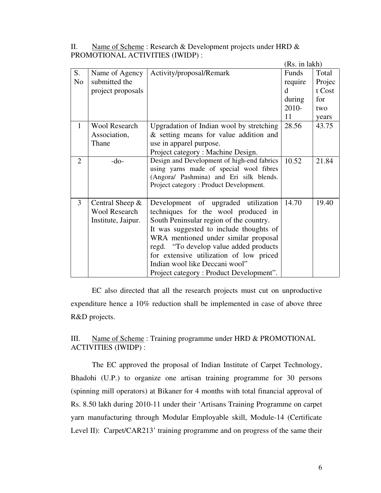II. Name of Scheme : Research & Development projects under HRD & PROMOTIONAL ACTIVITIES (IWIDP) :

|                |                                            |                                            | (Rs. in lakh) |        |
|----------------|--------------------------------------------|--------------------------------------------|---------------|--------|
| S.             | Name of Agency                             | Activity/proposal/Remark                   | Funds         | Total  |
| No             | submitted the                              |                                            | require       | Projec |
|                | project proposals                          |                                            | <sub>d</sub>  | t Cost |
|                |                                            |                                            | during        | for    |
|                |                                            |                                            | 2010-         | two    |
|                |                                            |                                            | 11            | years  |
| $\mathbf{1}$   | <b>Wool Research</b>                       | Upgradation of Indian wool by stretching   | 28.56         | 43.75  |
|                | Association,                               | & setting means for value addition and     |               |        |
|                | Thane                                      | use in apparel purpose.                    |               |        |
|                |                                            | Project category: Machine Design.          |               |        |
| $\overline{2}$ | $-do-$                                     | Design and Development of high-end fabrics | 10.52         | 21.84  |
|                |                                            | using yarns made of special wool fibres    |               |        |
|                |                                            | (Angora/ Pashmina) and Eri silk blends.    |               |        |
|                |                                            | Project category: Product Development.     |               |        |
| 3              |                                            |                                            | 14.70         | 19.40  |
|                | Central Sheep $\&$<br><b>Wool Research</b> | Development of upgraded utilization        |               |        |
|                |                                            | techniques for the wool produced in        |               |        |
|                | Institute, Jaipur.                         | South Peninsular region of the country.    |               |        |
|                |                                            | It was suggested to include thoughts of    |               |        |
|                |                                            | WRA mentioned under similar proposal       |               |        |
|                |                                            | regd. "To develop value added products"    |               |        |
|                |                                            | for extensive utilization of low priced    |               |        |
|                |                                            | Indian wool like Deccani wool"             |               |        |
|                |                                            | Project category: Product Development".    |               |        |

 EC also directed that all the research projects must cut on unproductive expenditure hence a 10% reduction shall be implemented in case of above three R&D projects.

## III. Name of Scheme : Training programme under HRD & PROMOTIONAL ACTIVITIES (IWIDP) :

 The EC approved the proposal of Indian Institute of Carpet Technology, Bhadohi (U.P.) to organize one artisan training programme for 30 persons (spinning mill operators) at Bikaner for 4 months with total financial approval of Rs. 8.50 lakh during 2010-11 under their 'Artisans Training Programme on carpet yarn manufacturing through Modular Employable skill, Module-14 (Certificate Level II): Carpet/CAR213' training programme and on progress of the same their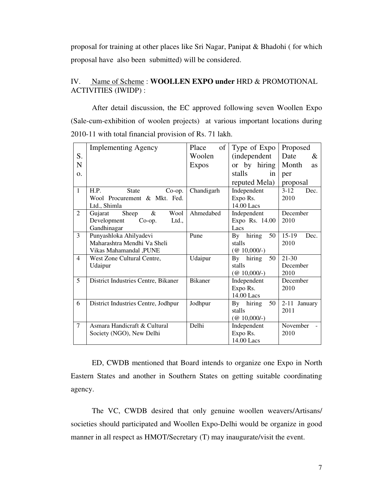proposal for training at other places like Sri Nagar, Panipat & Bhadohi ( for which proposal have also been submitted) will be considered.

## IV. Name of Scheme : **WOOLLEN EXPO under** HRD & PROMOTIONAL ACTIVITIES (IWIDP) :

 After detail discussion, the EC approved following seven Woollen Expo (Sale-cum-exhibition of woolen projects) at various important locations during 2010-11 with total financial provision of Rs. 71 lakh.

|                | <b>Implementing Agency</b>          | of<br>Place    | Type of Expo                        | Proposed           |
|----------------|-------------------------------------|----------------|-------------------------------------|--------------------|
| S.             |                                     | Woolen         | <i>(independent)</i>                | Date<br>&          |
| N              |                                     | <b>Expos</b>   | or by hiring                        | Month<br><b>as</b> |
| $\Omega$ .     |                                     |                | stalls<br>in                        | per                |
|                |                                     |                | reputed Mela)                       | proposal           |
| $\mathbf{1}$   | H.P.<br>State<br>Co-op.             | Chandigarh     | Independent                         | $3-12$<br>Dec.     |
|                | Wool Procurement & Mkt. Fed.        |                | Expo Rs.                            | 2010               |
|                | Ltd., Shimla                        |                | 14.00 Lacs                          |                    |
| 2              | Wool<br>Sheep<br>$\&$<br>Gujarat    | Ahmedabed      | Independent                         | December           |
|                | Development<br>Ltd.<br>$Co$ -op.    |                | Expo Rs. 14.00                      | 2010               |
|                | Gandhinagar                         |                | Lacs                                |                    |
| $\overline{3}$ | Punyashloka Ahilyadevi              | Pune           | By hiring<br>50                     | $15-19$<br>Dec.    |
|                | Maharashtra Mendhi Va Sheli         |                | stalls                              | 2010               |
|                | Vikas Mahamandal , PUNE             |                | $(\text{\textcircled{a}} 10,000/-)$ |                    |
| $\overline{4}$ | West Zone Cultural Centre,          | Udaipur        | By hiring<br>50                     | $21 - 30$          |
|                | Udaipur                             |                | stalls                              | December           |
|                |                                     |                | $(\text{\textcircled{a}} 10,000/-)$ | 2010               |
| 5              | District Industries Centre, Bikaner | <b>Bikaner</b> | Independent                         | December           |
|                |                                     |                | Expo Rs.                            | 2010               |
|                |                                     |                | 14.00 Lacs                          |                    |
| 6              | District Industries Centre, Jodhpur | Jodhpur        | By hiring<br>50                     | 2-11 January       |
|                |                                     |                | stalls                              | 2011               |
|                |                                     |                | $(\text{\textcircled{a}} 10,000/-)$ |                    |
| $\overline{7}$ | Asmara Handicraft & Cultural        | Delhi          | Independent                         | November           |
|                | Society (NGO), New Delhi            |                | Expo Rs.                            | 2010               |
|                |                                     |                | 14.00 Lacs                          |                    |

ED, CWDB mentioned that Board intends to organize one Expo in North Eastern States and another in Southern States on getting suitable coordinating agency.

 The VC, CWDB desired that only genuine woollen weavers/Artisans/ societies should participated and Woollen Expo-Delhi would be organize in good manner in all respect as HMOT/Secretary (T) may inaugurate/visit the event.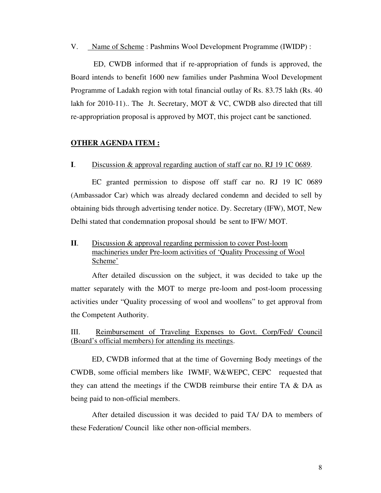V. Name of Scheme : Pashmins Wool Development Programme (IWIDP) :

 ED, CWDB informed that if re-appropriation of funds is approved, the Board intends to benefit 1600 new families under Pashmina Wool Development Programme of Ladakh region with total financial outlay of Rs. 83.75 lakh (Rs. 40 lakh for 2010-11).. The Jt. Secretary, MOT & VC, CWDB also directed that till re-appropriation proposal is approved by MOT, this project cant be sanctioned.

### **OTHER AGENDA ITEM :**

### **I**. Discussion & approval regarding auction of staff car no. RJ 19 1C 0689.

EC granted permission to dispose off staff car no. RJ 19 IC 0689 (Ambassador Car) which was already declared condemn and decided to sell by obtaining bids through advertising tender notice. Dy. Secretary (IFW), MOT, New Delhi stated that condemnation proposal should be sent to IFW/ MOT.

**II**. Discussion & approval regarding permission to cover Post-loom machineries under Pre-loom activities of 'Quality Processing of Wool Scheme'

After detailed discussion on the subject, it was decided to take up the matter separately with the MOT to merge pre-loom and post-loom processing activities under "Quality processing of wool and woollens" to get approval from the Competent Authority.

III. Reimbursement of Traveling Expenses to Govt. Corp/Fed/ Council (Board's official members) for attending its meetings.

 ED, CWDB informed that at the time of Governing Body meetings of the CWDB, some official members like IWMF, W&WEPC, CEPC requested that they can attend the meetings if the CWDB reimburse their entire TA & DA as being paid to non-official members.

 After detailed discussion it was decided to paid TA/ DA to members of these Federation/ Council like other non-official members.